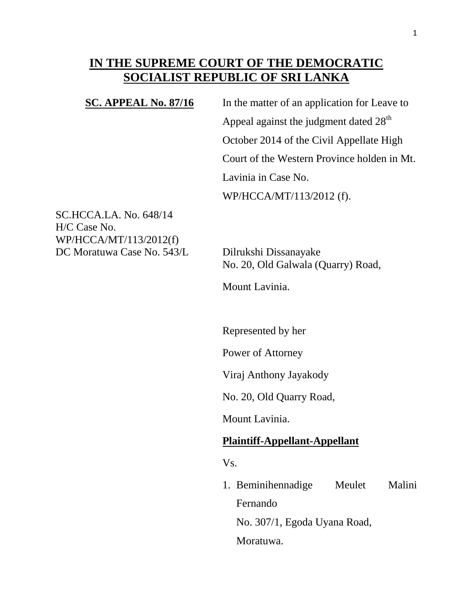# **IN THE SUPREME COURT OF THE DEMOCRATIC SOCIALIST REPUBLIC OF SRI LANKA**

**SC. APPEAL No. 87/16** In the matter of an application for Leave to Appeal against the judgment dated  $28<sup>th</sup>$ October 2014 of the Civil Appellate High Court of the Western Province holden in Mt. Lavinia in Case No. WP/HCCA/MT/113/2012 (f).

SC.HCCA.LA. No. 648/14 H/C Case No. WP/HCCA/MT/113/2012(f) DC Moratuwa Case No. 543/L Dilrukshi Dissanayake

No. 20, Old Galwala (Quarry) Road,

Mount Lavinia.

Represented by her

Power of Attorney

Viraj Anthony Jayakody

No. 20, Old Quarry Road,

Mount Lavinia.

#### **Plaintiff-Appellant-Appellant**

Vs.

1. Beminihennadige Meulet Malini Fernando No. 307/1, Egoda Uyana Road, Moratuwa.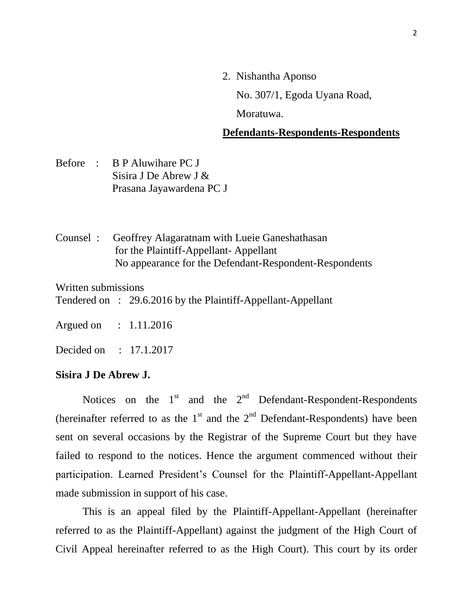2. Nishantha Aponso

No. 307/1, Egoda Uyana Road,

Moratuwa.

### **Defendants-Respondents-Respondents**

- Before : B P Aluwihare PC J Sisira J De Abrew J & Prasana Jayawardena PC J
- Counsel : Geoffrey Alagaratnam with Lueie Ganeshathasan for the Plaintiff-Appellant- Appellant No appearance for the Defendant-Respondent-Respondents

Written submissions

Tendered on : 29.6.2016 by the Plaintiff-Appellant-Appellant

Argued on : 1.11.2016

Decided on : 17.1.2017

#### **Sisira J De Abrew J.**

Notices on the  $1<sup>st</sup>$  and the  $2<sup>nd</sup>$  Defendant-Respondent-Respondents (hereinafter referred to as the  $1<sup>st</sup>$  and the  $2<sup>nd</sup>$  Defendant-Respondents) have been sent on several occasions by the Registrar of the Supreme Court but they have failed to respond to the notices. Hence the argument commenced without their participation. Learned President's Counsel for the Plaintiff-Appellant-Appellant made submission in support of his case.

 This is an appeal filed by the Plaintiff-Appellant-Appellant (hereinafter referred to as the Plaintiff-Appellant) against the judgment of the High Court of Civil Appeal hereinafter referred to as the High Court). This court by its order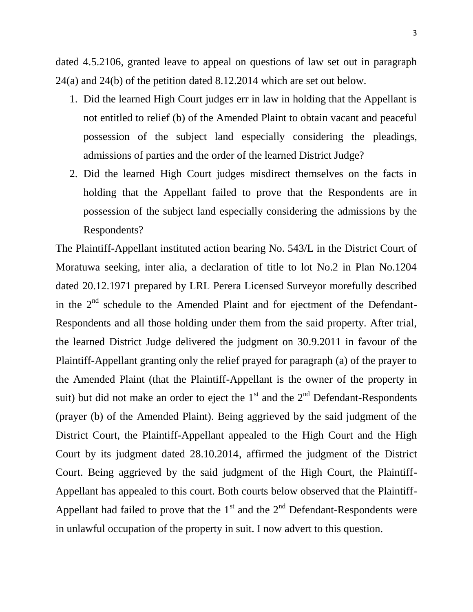dated 4.5.2106, granted leave to appeal on questions of law set out in paragraph 24(a) and 24(b) of the petition dated 8.12.2014 which are set out below.

- 1. Did the learned High Court judges err in law in holding that the Appellant is not entitled to relief (b) of the Amended Plaint to obtain vacant and peaceful possession of the subject land especially considering the pleadings, admissions of parties and the order of the learned District Judge?
- 2. Did the learned High Court judges misdirect themselves on the facts in holding that the Appellant failed to prove that the Respondents are in possession of the subject land especially considering the admissions by the Respondents?

The Plaintiff-Appellant instituted action bearing No. 543/L in the District Court of Moratuwa seeking, inter alia, a declaration of title to lot No.2 in Plan No.1204 dated 20.12.1971 prepared by LRL Perera Licensed Surveyor morefully described in the  $2<sup>nd</sup>$  schedule to the Amended Plaint and for ejectment of the Defendant-Respondents and all those holding under them from the said property. After trial, the learned District Judge delivered the judgment on 30.9.2011 in favour of the Plaintiff-Appellant granting only the relief prayed for paragraph (a) of the prayer to the Amended Plaint (that the Plaintiff-Appellant is the owner of the property in suit) but did not make an order to eject the  $1<sup>st</sup>$  and the  $2<sup>nd</sup>$  Defendant-Respondents (prayer (b) of the Amended Plaint). Being aggrieved by the said judgment of the District Court, the Plaintiff-Appellant appealed to the High Court and the High Court by its judgment dated 28.10.2014, affirmed the judgment of the District Court. Being aggrieved by the said judgment of the High Court, the Plaintiff-Appellant has appealed to this court. Both courts below observed that the Plaintiff-Appellant had failed to prove that the  $1<sup>st</sup>$  and the  $2<sup>nd</sup>$  Defendant-Respondents were in unlawful occupation of the property in suit. I now advert to this question.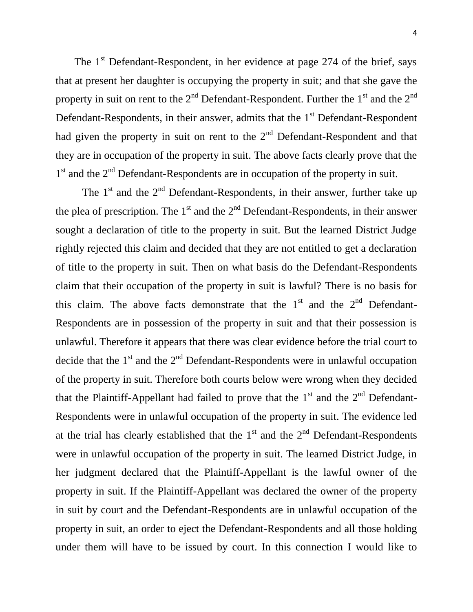The  $1<sup>st</sup>$  Defendant-Respondent, in her evidence at page 274 of the brief, says that at present her daughter is occupying the property in suit; and that she gave the property in suit on rent to the  $2<sup>nd</sup>$  Defendant-Respondent. Further the  $1<sup>st</sup>$  and the  $2<sup>nd</sup>$ Defendant-Respondents, in their answer, admits that the  $1<sup>st</sup>$  Defendant-Respondent had given the property in suit on rent to the  $2<sup>nd</sup>$  Defendant-Respondent and that they are in occupation of the property in suit. The above facts clearly prove that the 1<sup>st</sup> and the 2<sup>nd</sup> Defendant-Respondents are in occupation of the property in suit.

The  $1<sup>st</sup>$  and the  $2<sup>nd</sup>$  Defendant-Respondents, in their answer, further take up the plea of prescription. The  $1<sup>st</sup>$  and the  $2<sup>nd</sup>$  Defendant-Respondents, in their answer sought a declaration of title to the property in suit. But the learned District Judge rightly rejected this claim and decided that they are not entitled to get a declaration of title to the property in suit. Then on what basis do the Defendant-Respondents claim that their occupation of the property in suit is lawful? There is no basis for this claim. The above facts demonstrate that the  $1<sup>st</sup>$  and the  $2<sup>nd</sup>$  Defendant-Respondents are in possession of the property in suit and that their possession is unlawful. Therefore it appears that there was clear evidence before the trial court to decide that the  $1<sup>st</sup>$  and the  $2<sup>nd</sup>$  Defendant-Respondents were in unlawful occupation of the property in suit. Therefore both courts below were wrong when they decided that the Plaintiff-Appellant had failed to prove that the  $1<sup>st</sup>$  and the  $2<sup>nd</sup>$  Defendant-Respondents were in unlawful occupation of the property in suit. The evidence led at the trial has clearly established that the  $1<sup>st</sup>$  and the  $2<sup>nd</sup>$  Defendant-Respondents were in unlawful occupation of the property in suit. The learned District Judge, in her judgment declared that the Plaintiff-Appellant is the lawful owner of the property in suit. If the Plaintiff-Appellant was declared the owner of the property in suit by court and the Defendant-Respondents are in unlawful occupation of the property in suit, an order to eject the Defendant-Respondents and all those holding under them will have to be issued by court. In this connection I would like to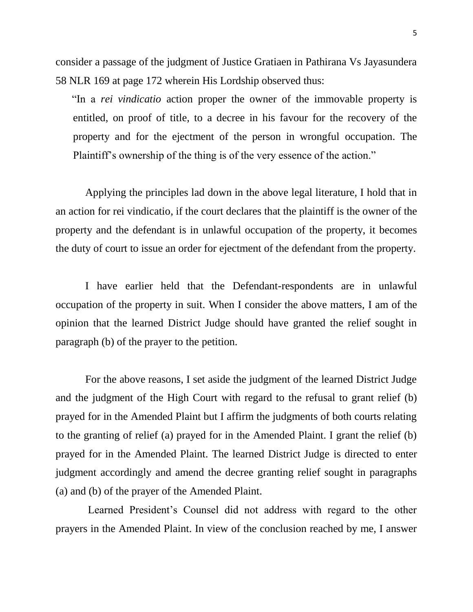consider a passage of the judgment of Justice Gratiaen in Pathirana Vs Jayasundera 58 NLR 169 at page 172 wherein His Lordship observed thus:

 "In a *rei vindicatio* action proper the owner of the immovable property is entitled, on proof of title, to a decree in his favour for the recovery of the property and for the ejectment of the person in wrongful occupation. The Plaintiff's ownership of the thing is of the very essence of the action."

 Applying the principles lad down in the above legal literature, I hold that in an action for rei vindicatio, if the court declares that the plaintiff is the owner of the property and the defendant is in unlawful occupation of the property, it becomes the duty of court to issue an order for ejectment of the defendant from the property.

 I have earlier held that the Defendant-respondents are in unlawful occupation of the property in suit. When I consider the above matters, I am of the opinion that the learned District Judge should have granted the relief sought in paragraph (b) of the prayer to the petition.

 For the above reasons, I set aside the judgment of the learned District Judge and the judgment of the High Court with regard to the refusal to grant relief (b) prayed for in the Amended Plaint but I affirm the judgments of both courts relating to the granting of relief (a) prayed for in the Amended Plaint. I grant the relief (b) prayed for in the Amended Plaint. The learned District Judge is directed to enter judgment accordingly and amend the decree granting relief sought in paragraphs (a) and (b) of the prayer of the Amended Plaint.

 Learned President's Counsel did not address with regard to the other prayers in the Amended Plaint. In view of the conclusion reached by me, I answer